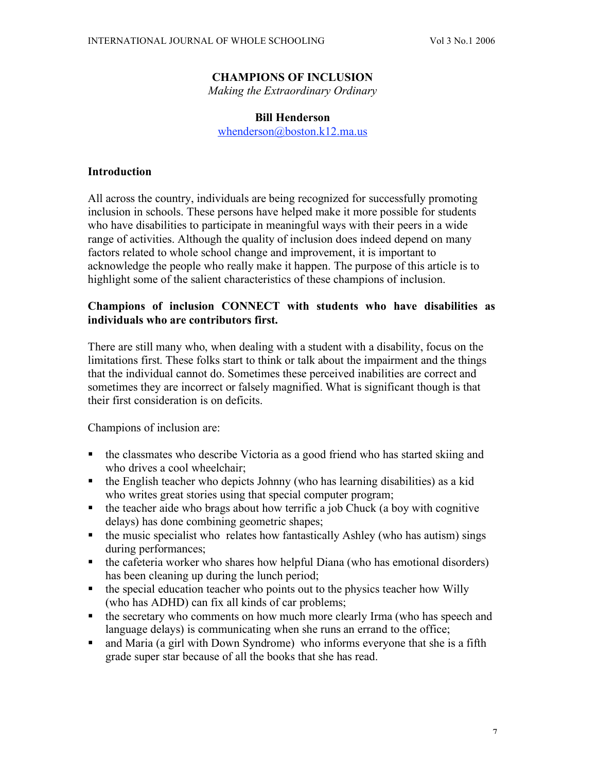#### **CHAMPIONS OF INCLUSION**

*Making the Extraordinary Ordinary*

#### **Bill Henderson**

whenderson@boston.k12.ma.us

#### **Introduction**

All across the country, individuals are being recognized for successfully promoting inclusion in schools. These persons have helped make it more possible for students who have disabilities to participate in meaningful ways with their peers in a wide range of activities. Although the quality of inclusion does indeed depend on many factors related to whole school change and improvement, it is important to acknowledge the people who really make it happen. The purpose of this article is to highlight some of the salient characteristics of these champions of inclusion.

### **Champions of inclusion CONNECT with students who have disabilities as individuals who are contributors first.**

There are still many who, when dealing with a student with a disability, focus on the limitations first. These folks start to think or talk about the impairment and the things that the individual cannot do. Sometimes these perceived inabilities are correct and sometimes they are incorrect or falsely magnified. What is significant though is that their first consideration is on deficits.

- the classmates who describe Victoria as a good friend who has started skiing and who drives a cool wheelchair;
- $\bullet$  the English teacher who depicts Johnny (who has learning disabilities) as a kid who writes great stories using that special computer program;
- $\bullet$  the teacher aide who brags about how terrific a job Chuck (a boy with cognitive delays) has done combining geometric shapes;
- $\blacksquare$  the music specialist who relates how fantastically Ashley (who has autism) sings during performances;
- $\bullet$  the cafeteria worker who shares how helpful Diana (who has emotional disorders) has been cleaning up during the lunch period;
- $\blacksquare$  the special education teacher who points out to the physics teacher how Willy (who has ADHD) can fix all kinds of car problems;
- the secretary who comments on how much more clearly Irma (who has speech and language delays) is communicating when she runs an errand to the office;
- and Maria (a girl with Down Syndrome) who informs everyone that she is a fifth grade super star because of all the books that she has read.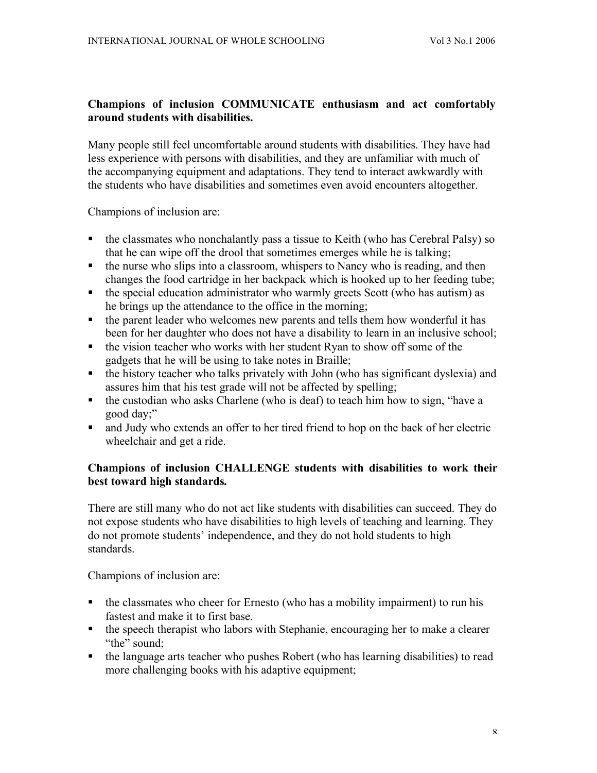### **Champions of inclusion COMMUNICATE enthusiasm and act comfortably around students with disabilities.**

Many people still feel uncomfortable around students with disabilities. They have had less experience with persons with disabilities, and they are unfamiliar with much of the accompanying equipment and adaptations. They tend to interact awkwardly with the students who have disabilities and sometimes even avoid encounters altogether.

Champions of inclusion are:

- the classmates who nonchalantly pass a tissue to Keith (who has Cerebral Palsy) so that he can wipe off the drool that sometimes emerges while he is talking;
- $\bullet$  the nurse who slips into a classroom, whispers to Nancy who is reading, and then changes the food cartridge in her backpack which is hooked up to her feeding tube;
- $\blacksquare$  the special education administrator who warmly greets Scott (who has autism) as he brings up the attendance to the office in the morning;
- the parent leader who welcomes new parents and tells them how wonderful it has been for her daughter who does not have a disability to learn in an inclusive school;
- the vision teacher who works with her student Ryan to show off some of the gadgets that he will be using to take notes in Braille;
- $\bullet$  the history teacher who talks privately with John (who has significant dyslexia) and assures him that his test grade will not be affected by spelling;
- $\bullet$  the custodian who asks Charlene (who is deaf) to teach him how to sign, "have a good day;"
- and Judy who extends an offer to her tired friend to hop on the back of her electric wheelchair and get a ride.

### **Champions of inclusion CHALLENGE students with disabilities to work their best toward high standards.**

There are still many who do not act like students with disabilities can succeed. They do not expose students who have disabilities to high levels of teaching and learning. They do not promote students' independence, and they do not hold students to high standards.

- $\blacksquare$  the classmates who cheer for Ernesto (who has a mobility impairment) to run his fastest and make it to first base.
- the speech therapist who labors with Stephanie, encouraging her to make a clearer "the" sound;
- the language arts teacher who pushes Robert (who has learning disabilities) to read more challenging books with his adaptive equipment;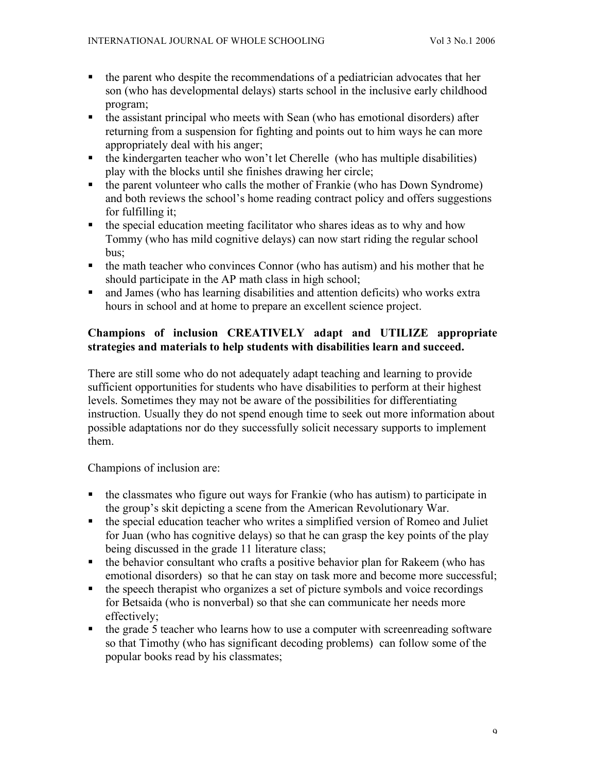- the parent who despite the recommendations of a pediatrician advocates that her son (who has developmental delays) starts school in the inclusive early childhood program;
- the assistant principal who meets with Sean (who has emotional disorders) after returning from a suspension for fighting and points out to him ways he can more appropriately deal with his anger;
- $\blacksquare$  the kindergarten teacher who won't let Cherelle (who has multiple disabilities) play with the blocks until she finishes drawing her circle;
- the parent volunteer who calls the mother of Frankie (who has Down Syndrome) and both reviews the school's home reading contract policy and offers suggestions for fulfilling it;
- the special education meeting facilitator who shares ideas as to why and how Tommy (who has mild cognitive delays) can now start riding the regular school bus;
- $\blacksquare$  the math teacher who convinces Connor (who has autism) and his mother that he should participate in the AP math class in high school;
- and James (who has learning disabilities and attention deficits) who works extra hours in school and at home to prepare an excellent science project.

# **Champions of inclusion CREATIVELY adapt and UTILIZE appropriate strategies and materials to help students with disabilities learn and succeed.**

There are still some who do not adequately adapt teaching and learning to provide sufficient opportunities for students who have disabilities to perform at their highest levels. Sometimes they may not be aware of the possibilities for differentiating instruction. Usually they do not spend enough time to seek out more information about possible adaptations nor do they successfully solicit necessary supports to implement them.

- $\blacksquare$  the classmates who figure out ways for Frankie (who has autism) to participate in the group's skit depicting a scene from the American Revolutionary War.
- the special education teacher who writes a simplified version of Romeo and Juliet for Juan (who has cognitive delays) so that he can grasp the key points of the play being discussed in the grade 11 literature class;
- $\blacksquare$  the behavior consultant who crafts a positive behavior plan for Rakeem (who has emotional disorders) so that he can stay on task more and become more successful;
- the speech therapist who organizes a set of picture symbols and voice recordings for Betsaida (who is nonverbal) so that she can communicate her needs more effectively;
- the grade 5 teacher who learns how to use a computer with screenreading software so that Timothy (who has significant decoding problems) can follow some of the popular books read by his classmates;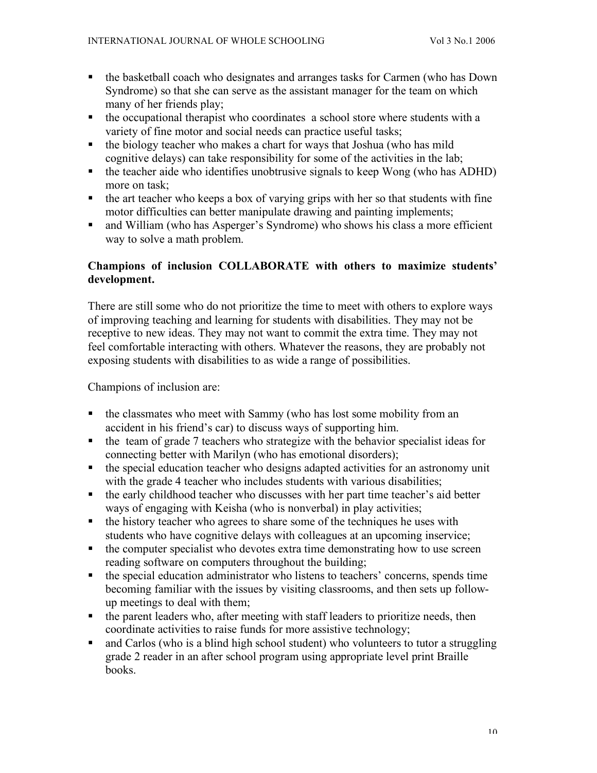- the basketball coach who designates and arranges tasks for Carmen (who has Down Syndrome) so that she can serve as the assistant manager for the team on which many of her friends play;
- $\blacksquare$  the occupational therapist who coordinates a school store where students with a variety of fine motor and social needs can practice useful tasks;
- the biology teacher who makes a chart for ways that Joshua (who has mild cognitive delays) can take responsibility for some of the activities in the lab;
- $\bullet$  the teacher aide who identifies unobtrusive signals to keep Wong (who has ADHD) more on task;
- $\bullet$  the art teacher who keeps a box of varying grips with her so that students with fine motor difficulties can better manipulate drawing and painting implements;
- and William (who has Asperger's Syndrome) who shows his class a more efficient way to solve a math problem.

## **Champions of inclusion COLLABORATE with others to maximize students' development.**

There are still some who do not prioritize the time to meet with others to explore ways of improving teaching and learning for students with disabilities. They may not be receptive to new ideas. They may not want to commit the extra time. They may not feel comfortable interacting with others. Whatever the reasons, they are probably not exposing students with disabilities to as wide a range of possibilities.

- $\bullet$  the classmates who meet with Sammy (who has lost some mobility from an accident in his friend's car) to discuss ways of supporting him.
- $\blacksquare$  the team of grade 7 teachers who strategize with the behavior specialist ideas for connecting better with Marilyn (who has emotional disorders);
- the special education teacher who designs adapted activities for an astronomy unit with the grade 4 teacher who includes students with various disabilities;
- the early childhood teacher who discusses with her part time teacher's aid better ways of engaging with Keisha (who is nonverbal) in play activities;
- the history teacher who agrees to share some of the techniques he uses with students who have cognitive delays with colleagues at an upcoming inservice;
- $\blacksquare$  the computer specialist who devotes extra time demonstrating how to use screen reading software on computers throughout the building;
- the special education administrator who listens to teachers' concerns, spends time becoming familiar with the issues by visiting classrooms, and then sets up followup meetings to deal with them;
- $\blacksquare$  the parent leaders who, after meeting with staff leaders to prioritize needs, then coordinate activities to raise funds for more assistive technology;
- and Carlos (who is a blind high school student) who volunteers to tutor a struggling grade 2 reader in an after school program using appropriate level print Braille books.